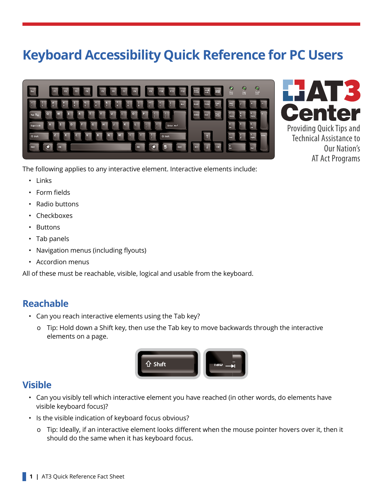# **Keyboard Accessibility Quick Reference for PC Users**





The following applies to any interactive element. Interactive elements include:

- Links
- Form fields
- Radio buttons
- Checkboxes
- Buttons
- Tab panels
- Navigation menus (including flyouts)
- Accordion menus

All of these must be reachable, visible, logical and usable from the keyboard.

#### **Reachable**

- Can you reach interactive elements using the Tab key?
	- о Tip: Hold down a Shift key, then use the Tab key to move backwards through the interactive elements on a page.



### **Visible**

- Can you visibly tell which interactive element you have reached (in other words, do elements have visible keyboard focus)?
- Is the visible indication of keyboard focus obvious?
	- о Tip: Ideally, if an interactive element looks different when the mouse pointer hovers over it, then it should do the same when it has keyboard focus.